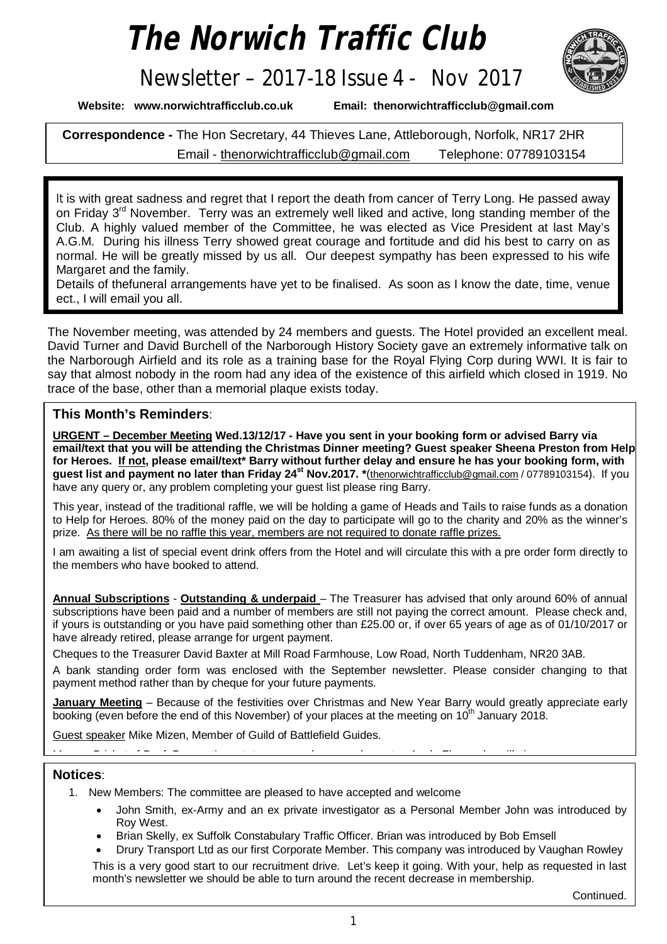# *The Norwich Traffic Club*

# Newsletter – 2017-18 Issue 4 - Nov 2017



**Website: [www.norwichtrafficclub.co.uk](http://www.norwichtrafficclub.co.uk) Email: [thenorwichtrafficclub@gmail.com](mailto:thenorwichtrafficclub@gmail.com)**

**Correspondence -** The Hon Secretary, 44 Thieves Lane, Attleborough, Norfolk, NR17 2HR Email - [thenorwichtrafficclub@gmail.com](mailto:thenorwichtrafficclub@gmail.com) Telephone: 07789103154

It is with great sadness and regret that I report the death from cancer of Terry Long. He passed away on Friday 3<sup>rd</sup> November. Terry was an extremely well liked and active, long standing member of the Club. A highly valued member of the Committee, he was elected as Vice President at last May's A.G.M. During his illness Terry showed great courage and fortitude and did his best to carry on as normal. He will be greatly missed by us all. Our deepest sympathy has been expressed to his wife Margaret and the family.

Details of thefuneral arrangements have yet to be finalised. As soon as I know the date, time, venue ect., I will email you all.

The November meeting, was attended by 24 members and guests. The Hotel provided an excellent meal. David Turner and David Burchell of the Narborough History Society gave an extremely informative talk on the Narborough Airfield and its role as a training base for the Royal Flying Corp during WWI. It is fair to say that almost nobody in the room had any idea of the existence of this airfield which closed in 1919. No trace of the base, other than a memorial plaque exists today.

## **This Month's Reminders**:

**URGENT – December Meeting Wed.13/12/17 - Have you sent in your booking form or advised Barry via email/text that you will be attending the Christmas Dinner meeting? Guest speaker Sheena Preston from Help for Heroes. If not, please email/text\* Barry without further delay and ensure he has your booking form, with**  guest list and payment no later than Friday 24<sup>st</sup> Nov.2017. \*([thenorwichtrafficclub@gmail.com](mailto:thenorwichtrafficclub@gmail.com) / 07789103154). If you have any query or, any problem completing your quest list please ring Barry.

This year, instead of the traditional raffle, we will be holding a game of Heads and Tails to raise funds as a donation to Help for Heroes. 80% of the money paid on the day to participate will go to the charity and 20% as the winner's prize. As there will be no raffle this year, members are not required to donate raffle prizes.

I am awaiting a list of special event drink offers from the Hotel and will circulate this with a pre order form directly to the members who have booked to attend.

**Annual Subscriptions** - **Outstanding & underpaid** – The Treasurer has advised that only around 60% of annual subscriptions have been paid and a number of members are still not paying the correct amount. Please check and, if yours is outstanding or you have paid something other than £25.00 or, if over 65 years of age as of 01/10/2017 or have already retired, please arrange for urgent payment.

Cheques to the Treasurer David Baxter at Mill Road Farmhouse, Low Road, North Tuddenham, NR20 3AB.

A bank standing order form was enclosed with the September newsletter. Please consider changing to that payment method rather than by cheque for your future payments.

January Meeting - Because of the festivities over Christmas and New Year Barry would greatly appreciate early booking (even before the end of this November) of your places at the meeting on 10<sup>th</sup> January 2018.

Guest speaker Mike Mizen, Member of Guild of Battlefield Guides.

Menu – Brisket of Beef, Parmentier potatoes, green beans and carrots. Apple Flan and vanilla ice cream.

### **Notices**:

- 1. New Members: The committee are pleased to have accepted and welcome
	- John Smith, ex-Army and an ex private investigator as a Personal Member John was introduced by Roy West.
	- Brian Skelly, ex Suffolk Constabulary Traffic Officer. Brian was introduced by Bob Emsell

 Drury Transport Ltd as our first Corporate Member. This company was introduced by Vaughan Rowley This is a very good start to our recruitment drive. Let's keep it going. With your, help as requested in last month's newsletter we should be able to turn around the recent decrease in membership.

Continued.